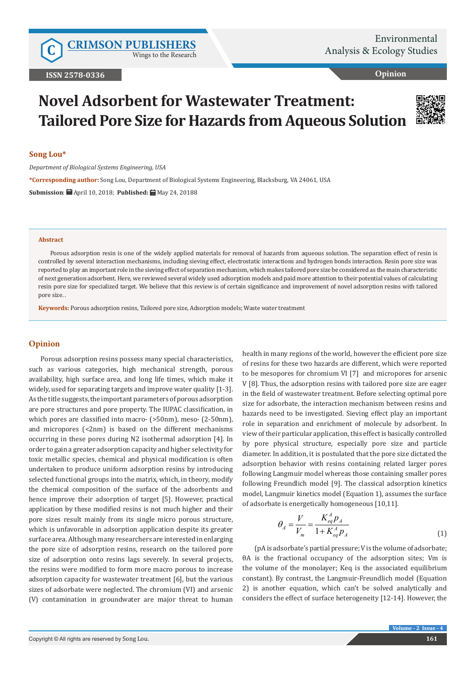Wings to the Research

**Opinion**

# **Novel Adsorbent for Wastewater Treatment: Tailored Pore Size for Hazards from Aqueous Solution**



## **Song Lou\***

*Department of Biological Systems Engineering, USA*

**\*Corresponding author:** Song Lou, Department of Biological Systems Engineering, Blacksburg, VA 24061, USA

**Submission**: April 10, 2018; **Published:** May 24, 20188

#### **Abstract**

Porous adsorption resin is one of the widely applied materials for removal of hazards from aqueous solution. The separation effect of resin is controlled by several interaction mechanisms, including sieving effect, electrostatic interactions and hydrogen bonds interaction. Resin pore size was reported to play an important role in the sieving effect of separation mechanism, which makes tailored pore size be considered as the main characteristic of next generation adsorbent. Here, we reviewed several widely used adsorption models and paid more attention to their potential values of calculating resin pore size for specialized target. We believe that this review is of certain significance and improvement of novel adsorption resins with tailored pore size. .

**Keywords:** Porous adsorption resins, Tailored pore size, Adsorption models; Waste water treatment

# **Opinion**

Porous adsorption resins possess many special characteristics, such as various categories, high mechanical strength, porous availability, high surface area, and long life times, which make it widely, used for separating targets and improve water quality [1-3]. As the title suggests, the important parameters of porous adsorption are pore structures and pore property. The IUPAC classification, in which pores are classified into macro- (>50nm), meso- (2-50nm), and micropores (<2nm) is based on the different mechanisms occurring in these pores during N2 isothermal adsorption [4]. In order to gain a greater adsorption capacity and higher selectivity for toxic metallic species, chemical and physical modification is often undertaken to produce uniform adsorption resins by introducing selected functional groups into the matrix, which, in theory, modify the chemical composition of the surface of the adsorbents and hence improve their adsorption of target [5]. However, practical application by these modified resins is not much higher and their pore sizes result mainly from its single micro porous structure, which is unfavorable in adsorption application despite its greater surface area. Although many researchers are interested in enlarging the pore size of adsorption resins, research on the tailored pore size of adsorption onto resins lags severely. In several projects, the resins were modified to form more macro porous to increase adsorption capacity for wastewater treatment [6], but the various sizes of adsorbate were neglected. The chromium (VI) and arsenic (V) contamination in groundwater are major threat to human

health in many regions of the world, however the efficient pore size of resins for these two hazards are different, which were reported to be mesopores for chromium VI [7] and micropores for arsenic V [8]. Thus, the adsorption resins with tailored pore size are eager in the field of wastewater treatment. Before selecting optimal pore size for adsorbate, the interaction mechanism between resins and hazards need to be investigated. Sieving effect play an important role in separation and enrichment of molecule by adsorbent. In view of their particular application, this effect is basically controlled by pore physical structure, especially pore size and particle diameter. In addition, it is postulated that the pore size dictated the adsorption behavior with resins containing related larger pores following Langmuir model whereas those containing smaller pores following Freundlich model [9]. The classical adsorption kinetics model, Langmuir kinetics model (Equation 1), assumes the surface of adsorbate is energetically homogeneous [10,11].

$$
\theta_{A} = \frac{V}{V_{m}} = \frac{K_{eq}^{A} p_{A}}{1 + K_{eq}^{A} p_{A}}
$$
(1)

(pA is adsorbate's partial pressure; V is the volume of adsorbate; θA is the fractional occupancy of the adsorption sites; Vm is the volume of the monolayer; Keq is the associated equilibrium constant). By contrast, the Langmuir-Freundlich model (Equation 2) is another equation, which can't be solved analytically and considers the effect of surface heterogeneity [12-14]. However, the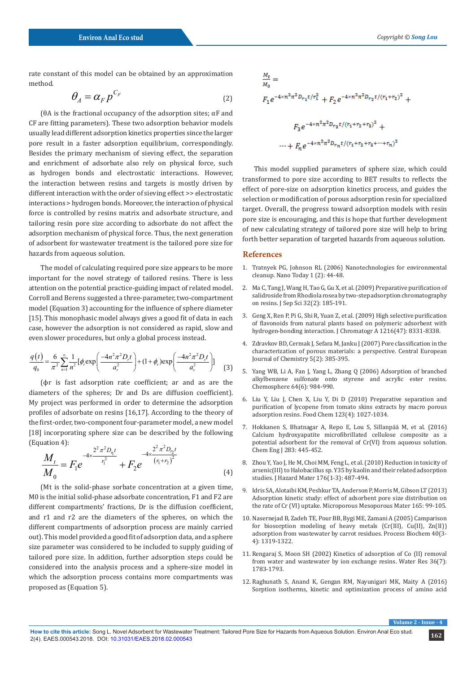rate constant of this model can be obtained by an approximation method.

$$
\theta_A = \alpha_F p^{C_F} \tag{2}
$$

(θA is the fractional occupancy of the adsorption sites; αF and CF are fitting parameters). These two adsorption behavior models usually lead different adsorption kinetics properties since the larger pore result in a faster adsorption equilibrium, correspondingly. Besides the primary mechanism of sieving effect, the separation and enrichment of adsorbate also rely on physical force, such as hydrogen bonds and electrostatic interactions. However, the interaction between resins and targets is mostly driven by different interaction with the order of sieving effect >> electrostatic interactions > hydrogen bonds. Moreover, the interaction of physical force is controlled by resins matrix and adsorbate structure, and tailoring resin pore size according to adsorbate do not affect the adsorption mechanism of physical force. Thus, the next generation of adsorbent for wastewater treatment is the tailored pore size for hazards from aqueous solution.

The model of calculating required pore size appears to be more important for the novel strategy of tailored resins. There is less attention on the potential practice-guiding impact of related model. Corroll and Berens suggested a three-parameter, two-compartment model (Equation 3) accounting for the influence of sphere diameter [15]. This monophasic model always gives a good fit of data in each case, however the adsorption is not considered as rapid, slow and even slower procedures, but only a global process instead.

$$
\frac{q(t)}{q_0} = \frac{6}{\pi^2} \sum_{n=1}^{\infty} \frac{1}{n^2} [\phi_r \exp\left(\frac{-4n^2 \pi^2 D_r t}{a_r^2}\right) + (1 + \phi_r) \exp\left(\frac{-4n^2 \pi^2 D_s t}{a_s^2}\right)]
$$
(3)

(ϕr is fast adsorption rate coefficient; ar and as are the diameters of the spheres; Dr and Ds are diffusion coefficient). My project was performed in order to determine the adsorption profiles of adsorbate on resins [16,17]. According to the theory of the first-order, two-component four-parameter model, a new model [18] incorporating sphere size can be described by the following (Equation 4):

$$
\frac{M_t}{M_0} = F_1 e^{-4 \times \frac{2^2 \pi^2 D_\eta t}{r_1^2}} + F_2 e^{-4 \times \frac{2^2 \pi^2 D_\eta t}{(r_1 + r_2)^2}}
$$
\n(4)

(Mt is the solid-phase sorbate concentration at a given time, M0 is the initial solid-phase adsorbate concentration, F1 and F2 are different compartments' fractions, Dr is the diffusion coefficient, and r1 and r2 are the diameters of the spheres, on which the different compartments of adsorption process are mainly carried out). This model provided a good fit of adsorption data, and a sphere size parameter was considered to be included to supply guiding of tailored pore size. In addition, further adsorption steps could be considered into the analysis process and a sphere-size model in which the adsorption process contains more compartments was proposed as (Equation 5).

$$
\frac{M_t}{M_0} =
$$
\n
$$
F_1 e^{-4 \times n^2 \pi^2 D_{r_1} t / r_1^2} + F_2 e^{-4 \times n^2 \pi^2 D_{r_2} t / (r_1 + r_2)^2} +
$$
\n
$$
F_3 e^{-4 \times n^2 \pi^2 D_{r_3} t / (r_1 + r_2 + r_3)^2} +
$$
\n
$$
\dots + F_n e^{-4 \times n^2 \pi^2 D_{r_n} t / (r_1 + r_2 + r_3 + \dots + r_n)^2}
$$

 This model supplied parameters of sphere size, which could transformed to pore size according to BET results to reflects the effect of pore-size on adsorption kinetics process, and guides the selection or modification of porous adsorption resin for specialized target. Overall, the progress toward adsorption models with resin pore size is encouraging, and this is hope that further development of new calculating strategy of tailored pore size will help to bring forth better separation of targeted hazards from aqueous solution.

#### **References**

- 1. [Tratnyek PG, Johnson RL \(2006\) Nanotechnologies for environmental](https://www.sciencedirect.com/science/article/pii/S1748013206700482) [cleanup. Nano Today 1 \(2\): 44-48.](https://www.sciencedirect.com/science/article/pii/S1748013206700482)
- 2. [Ma C, Tang J, Wang H, Tao G, Gu X, et al. \(2009\) Preparative purification of](https://www.ncbi.nlm.nih.gov/pubmed/19156642) [salidroside from Rhodiola rosea by two-step adsorption chromatography](https://www.ncbi.nlm.nih.gov/pubmed/19156642) [on resins. J Sep Sci 32\(2\): 185-191.](https://www.ncbi.nlm.nih.gov/pubmed/19156642)
- 3. [Geng X, Ren P, Pi G, Shi R, Yuan Z, et al. \(2009\) High selective purification](https://www.ncbi.nlm.nih.gov/pubmed/19837412) [of flavonoids from natural plants based on polymeric adsorbent with](https://www.ncbi.nlm.nih.gov/pubmed/19837412) [hydrogen-bonding interaction. J Chromatogr A 1216\(47\): 8331-8338.](https://www.ncbi.nlm.nih.gov/pubmed/19837412)
- 4. [Zdravkov BD, Cermak J, Sefara M, Janku J \(2007\) Pore classification in the](https://link.springer.com/article/10.2478/s11532-007-0017-9) [characterization of porous materials: a perspective. Central European](https://link.springer.com/article/10.2478/s11532-007-0017-9) [Journal of Chemistry 5\(2\): 385-395.](https://link.springer.com/article/10.2478/s11532-007-0017-9)
- 5. [Yang WB, Li A, Fan J, Yang L, Zhang Q \(2006\) Adsorption of branched](https://www.sciencedirect.com/science/article/pii/S0045653506000300) [alkylbenzene sulfonate onto styrene and acrylic ester resins.](https://www.sciencedirect.com/science/article/pii/S0045653506000300) [Chemosphere 64\(6\): 984-990.](https://www.sciencedirect.com/science/article/pii/S0045653506000300)
- 6. [Liu Y, Liu J, Chen X, Liu Y, Di D \(2010\) Preparative separation and](https://www.sciencedirect.com/science/article/pii/S0308814610006151) [purification of lycopene from tomato skins extracts by macro porous](https://www.sciencedirect.com/science/article/pii/S0308814610006151) [adsorption resins. Food Chem 123\(4\): 1027-1034.](https://www.sciencedirect.com/science/article/pii/S0308814610006151)
- 7. [Hokkanen S, Bhatnagar A, Repo E, Lou S, Sillanpää M, et al. \(2016\)](https://www.sciencedirect.com/science/article/pii/S1385894715010013) [Calcium hydroxyapatite microfibrillated cellulose composite as a](https://www.sciencedirect.com/science/article/pii/S1385894715010013) [potential adsorbent for the removal of Cr\(VI\) from aqueous solution.](https://www.sciencedirect.com/science/article/pii/S1385894715010013) [Chem Eng J 283: 445-452.](https://www.sciencedirect.com/science/article/pii/S1385894715010013)
- 8. [Zhou Y, Yao J, He M, Choi MM, Feng L, et al. \(2010\) Reduction in toxicity of](https://www.ncbi.nlm.nih.gov/pubmed/20004516) [arsenic\(III\) to Halobacillus sp. Y35 by kaolin and their related adsorption](https://www.ncbi.nlm.nih.gov/pubmed/20004516) [studies. J Hazard Mater 176\(1-3\): 487-494.](https://www.ncbi.nlm.nih.gov/pubmed/20004516)
- 9. [Idris SA, Alotaibi KM, Peshkur TA, Anderson P, Morris M, Gibson LT \(2013\)](https://www.sciencedirect.com/science/article/pii/S1387181112004994) [Adsorption kinetic study: effect of adsorbent pore size distribution on](https://www.sciencedirect.com/science/article/pii/S1387181112004994) [the rate of Cr \(VI\) uptake. Microporous Mesoporous Mater 165: 99-105.](https://www.sciencedirect.com/science/article/pii/S1387181112004994)
- 10. [Nasernejad B, Zadeh TE, Pour BB, Bygi ME, Zamani A \(2005\) Camparison](https://www.sciencedirect.com/science/article/pii/S0032959204002225) [for biosorption modeling of heavy metals \(Cr\(III\), Cu\(II\), Zn\(II\)\)](https://www.sciencedirect.com/science/article/pii/S0032959204002225) [adsorption from wastewater by carrot residues. Process Biochem 40\(3-](https://www.sciencedirect.com/science/article/pii/S0032959204002225) [4\): 1319-1322.](https://www.sciencedirect.com/science/article/pii/S0032959204002225)
- 11. [Rengaraj S, Moon SH \(2002\) Kinetics of adsorption of Co \(II\) removal](https://www.sciencedirect.com/science/article/pii/S0043135401003803) [from water and wastewater by ion exchange resins. Water Res 36\(7\):](https://www.sciencedirect.com/science/article/pii/S0043135401003803) [1783-1793.](https://www.sciencedirect.com/science/article/pii/S0043135401003803)
- 12. [Raghunath S, Anand K, Gengan RM, Nayunigari MK, Maity A \(2016\)](https://www.sciencedirect.com/science/article/pii/S101113441630731X) [Sorption isotherms, kinetic and optimization process of amino acid](https://www.sciencedirect.com/science/article/pii/S101113441630731X)

 $Volume 2$